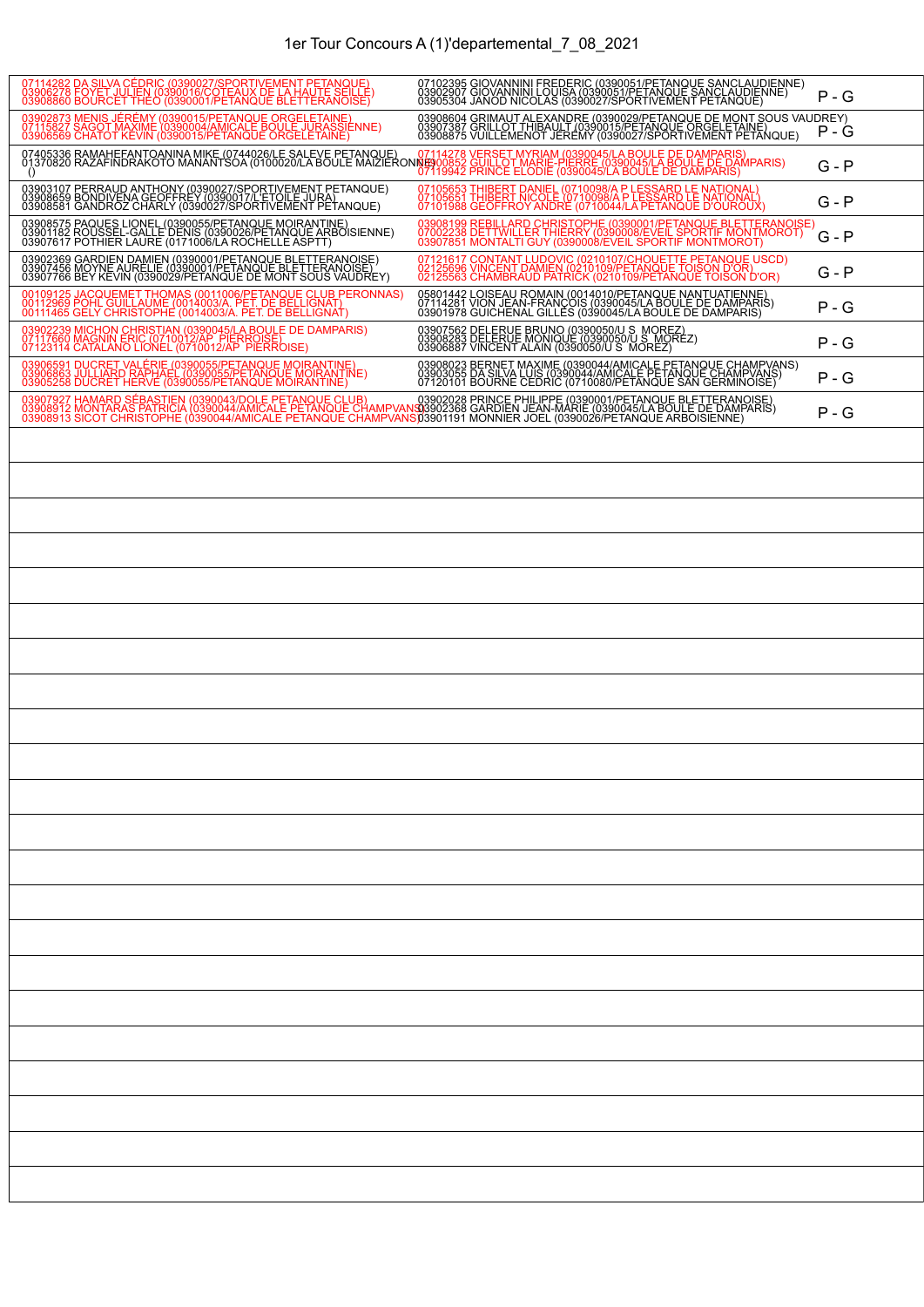| 07114282 DA SILVA CÉDRIC (0390027/SPORTIVEMENT PETANQUE)<br>03906278 FOYET JULIEN (0390016/COTEAUX DE LA HAUTE SEILLE)<br>03908860 BOURCET THEO (0390001/PETANQUE BLETTERANOISE)                                                     | 07102395 GIOVANNINI FREDERIC (0390051/PETANQUE SANCLAUDIENNE)<br>03902907 GIOVANNINI LOUISA (0390051/PETANQUE SANCLAUDIENNE)<br>03905304 JANOD NICOLAS (0390027/SPORTIVEMENT PETANQUE)     | $P - G$ |
|--------------------------------------------------------------------------------------------------------------------------------------------------------------------------------------------------------------------------------------|--------------------------------------------------------------------------------------------------------------------------------------------------------------------------------------------|---------|
| 03902873 MENIS JÉRÉMY (0390015/PETANOUE ORGELETAINE)<br>07115827 SAGOT MAXIME (0390004/AMICALE BOULE JURASSIENNE)<br>03906569 CHATOT KEVIN (0390015/PETANQUE ORGELETAINE)                                                            |                                                                                                                                                                                            | P - G   |
| 07114278 VERSET MYRIAM DE DE DAMPARIS)<br>01370820 RAZAFIRDAXKOTO MANANTSOA (0100020/LA BOULE MAIZIERONDED OF MARIE-PIERRE (0390045/LA BOULE DE DAMPARIS)<br>0119942 PRINCER EL DAMPARIS)                                            |                                                                                                                                                                                            | G - P   |
| 03903107 PERRAUD ANTHONY (0390027/SPORTIVEMENT PETANQUE)<br>03908659 BONDIVENA GEOFFREY (0390017/L'ETOILE JURA)<br>03908581 GANDROZ CHARLY (0390027/SPORTIVEMENT PETANQUE)                                                           | 07105653 THIBERT DANIEL (0710098/A P LESSARD LE NATIONAL)<br>07105651 THIBERT NICOLE (0710098/A P LESSARD LE NATIONAL)<br>07101988 GEOFFROY ANDRE (0710044/LA PETANQUE D'OUROUX)           | $G - P$ |
| 03908575 PAQUES LIONEL (0390055/PETANQUE MOIRANTINE)<br>03901182 ROUSSEL-GALLE DENIS (0390026/PETANQUE ARBOISIENNE)<br>03907617 POTHIER LAURE (0171006/LA ROCHELLE ASPTT)                                                            | 03908199 REBILLARD CHRISTOPHE (0390001/PETANOUE BLETTERANOISE)<br>07002238 DETTWILLER THIERRY (0390008/EVEIL SPORTIF MONTMOROT)<br>03907851 MONTALTI GUY (0390008/EVEIL SPORTIF MONTMOROT) | G - P   |
| 03902369 GARDIEN DAMIEN (0390001/PETANOUE BLETTERANOISE)<br>03907456 MOYNE AURELIE (0390001/PETANOUE BLETTERANOISE)<br>03907766 BEY KEVIN (0390029/PETANQUE DE MONT SOUS VAUDREY)                                                    | 07121617 CONTANT LUDOVIC (0210107/CHOUETTE PETANQUE USCD)<br>02125696 VINCENT DAMIEN (0210109/PETANQUE TOISON D'OR)<br>02125563 CHAMBRAUD PATRICK (0210109/PETANQUE TOISON D'OR)           | G - P   |
| 00109125 JACQUEMET THOMAS (0011006/PETANQUE CLUB PERONNAS)<br>00112969 POHL GUILLAUME (0014003/A, PET, DE BELLIGNAT)<br>00111465 GELY CHRISTOPHE (0014003/A. PET. DE BELLIGNAT)                                                      | 05801442 LOISEAU ROMAIN (0014010/PETANQUE NANTUATIENNE)<br>07114281 VION JEAN-FRANÇOIS (0390045/LABOULE DE DAMPARIS)<br>03901978 GUICHENAL GILLES (0390045/LA BOULE DE DAMPARIS)           | P - G   |
| 03902239 MICHON CHRISTIAN (0390045/LA BOULE DE DAMPARIS)<br>07117660 MAGNIN ERIC (0710012/AP PIERROISE)<br>07123114 CATALANO LIONEL (0710012/AP PIERROISE)                                                                           | 03907562 DELERUE BRUNO (0390050/U S_MOREZ)<br>03908283 DELERUE MONIQUE (0390050/U S_MOREZ)<br>03906887 VINCENT ALAIN (0390050/U S_MOREZ)                                                   | $P - G$ |
| 03906591 DUCRET VALÉRIE (0390055/PETANQUE MOIRANTINE)<br>03906863 JULLIARD RAPHAEL (0390055/PETANQUE MOIRANTINE)<br>03905258 DUCRET HERVÉ (0390055/PETANQUE MOIRANTINE)                                                              | 03908023 BERNET MAXIME (0390044/AMICALE PETANQUE CHAMPVANS)<br>03903055 DA SILVA LUIS (0390044/AMICALE PETANQUE CHAMPVANS)<br>07120101 BOURNE CEDRIC (0710080/PETANQUE SAN GERMINOISE)     | P - G   |
| 03907927 HAMARD SÉBASTIEN (0390043/DOLE PETANQUE CLUB)<br>03908912 MONTARAS PATRICIA (0390044/AMICALE PETANQUE CHAMPVANS)3902368 GARDIEN JEAN-MARIE (0390001/PETANQUE DE DAMPARIS)<br>03908913 SICOT CHRISTOPHE (0390044/AMICALE PET |                                                                                                                                                                                            | P - G   |
|                                                                                                                                                                                                                                      |                                                                                                                                                                                            |         |
|                                                                                                                                                                                                                                      |                                                                                                                                                                                            |         |
|                                                                                                                                                                                                                                      |                                                                                                                                                                                            |         |
|                                                                                                                                                                                                                                      |                                                                                                                                                                                            |         |
|                                                                                                                                                                                                                                      |                                                                                                                                                                                            |         |
|                                                                                                                                                                                                                                      |                                                                                                                                                                                            |         |
|                                                                                                                                                                                                                                      |                                                                                                                                                                                            |         |
|                                                                                                                                                                                                                                      |                                                                                                                                                                                            |         |
|                                                                                                                                                                                                                                      |                                                                                                                                                                                            |         |
|                                                                                                                                                                                                                                      |                                                                                                                                                                                            |         |
|                                                                                                                                                                                                                                      |                                                                                                                                                                                            |         |
|                                                                                                                                                                                                                                      |                                                                                                                                                                                            |         |
|                                                                                                                                                                                                                                      |                                                                                                                                                                                            |         |
|                                                                                                                                                                                                                                      |                                                                                                                                                                                            |         |
|                                                                                                                                                                                                                                      |                                                                                                                                                                                            |         |
|                                                                                                                                                                                                                                      |                                                                                                                                                                                            |         |
|                                                                                                                                                                                                                                      |                                                                                                                                                                                            |         |
|                                                                                                                                                                                                                                      |                                                                                                                                                                                            |         |
|                                                                                                                                                                                                                                      |                                                                                                                                                                                            |         |
|                                                                                                                                                                                                                                      |                                                                                                                                                                                            |         |
|                                                                                                                                                                                                                                      |                                                                                                                                                                                            |         |
|                                                                                                                                                                                                                                      |                                                                                                                                                                                            |         |
|                                                                                                                                                                                                                                      |                                                                                                                                                                                            |         |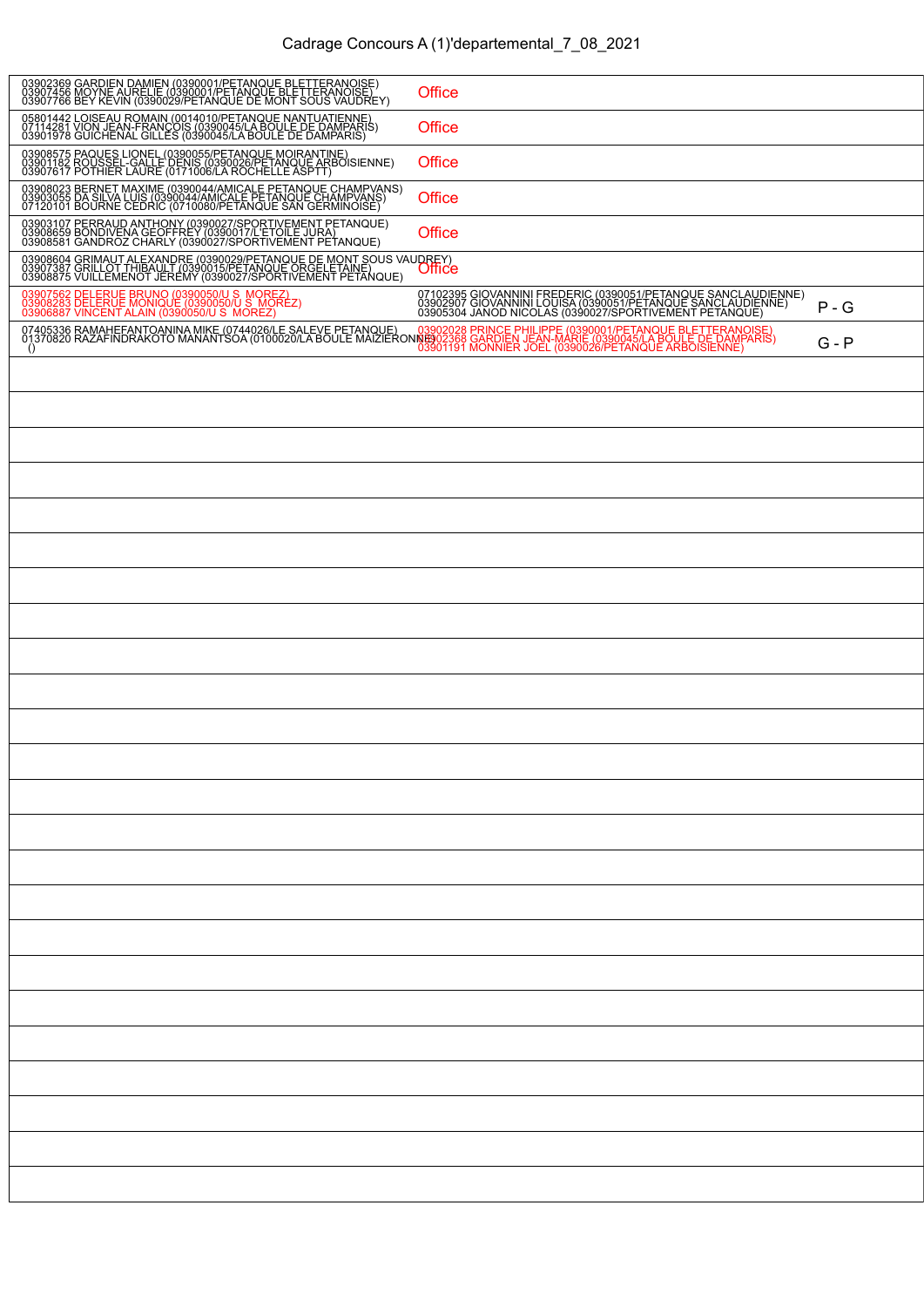| 03902369 GARDIEN DAMIEN (0390001/PETANQUE BLETTERANOISE)<br>03907456 MOYNE AURELIE (0390001/PETANQUE BLETTERANOISE)<br>03907766 BEY KEVIN (0390029/PETANQUE DE MONT SOUS VAUDREY)                                                                     | Office                                                                                                                                                                                 |         |
|-------------------------------------------------------------------------------------------------------------------------------------------------------------------------------------------------------------------------------------------------------|----------------------------------------------------------------------------------------------------------------------------------------------------------------------------------------|---------|
| 05801442 LOISEAU ROMAIN (0014010/PETANQUE NANTUATIENNE)<br>07114281 VION JEAN-FRANCOIS (0390045/LA BOULE DE DAMPARIS)<br>03901978 GUICHENAL GILLES (0390045/LA BOULE DE DAMPARIS)                                                                     | Office                                                                                                                                                                                 |         |
| 03908575 PAQUES LIONEL (0390055/PETANQUE MOIRANTINE)<br>03901182 ROUSSEL-GALLE DENIS (0390026/PETANQUE ARBOISIENNE)<br>03907617 POTHIER LAURE (0171006/LA ROCHELLE ASPTT)                                                                             | Office                                                                                                                                                                                 |         |
| 03908023 BERNET MAXIME (0390044/AMICALE PETANQUE CHAMPVANS)<br>03903055 DA SILVA LUIS (0390044/AMICALE PETANQUE CHAMPVANS)<br>07120101 BOURNE CEDRIC (0710080/PETANQUE SAN GERMINOISE)                                                                | Office                                                                                                                                                                                 |         |
| 03903107 PERRAUD ANTHONY (0390027/SPORTIVEMENT PETANQUE)<br>03908659 BONDIVENA GEOFFREY (0390017/L'ETOILE JURA)<br>03908581 GANDROZ CHARLY (0390027/SPORTIVEMENT PETANQUE)                                                                            | Office                                                                                                                                                                                 |         |
| 03908604 GRIMAUT ALEXANDRE (0390029/PETANQUE DE MONT SOUS VAUDREY)<br>03907387 GRILLOT THIBAULT (0390015/PETANQUE ORGELETAINE)<br>03908875 VUILLEMENOT JEREMY (0390027/SPORTIVEMENT PETANQUE)                                                         |                                                                                                                                                                                        |         |
| 03907562 DELERUE BRUNO (0390050/U S_MOREZ)<br>03908283 DELERUE MONIQUE (0390050/U S_MOREZ)<br>03906887 VINCENT ALAIN (0390050/U S_MOREZ)                                                                                                              | 07102395 GIOVANNINI FREDERIC (0390051/PETANQUE SANCLAUDIENNE)<br>03902907 GIOVANNINI LOUISA (0390051/PETANQUE SANCLAUDIENNE)<br>03905304 JANOD NICOLAS (0390027/SPORTIVEMENT PETANQUE) | $P - G$ |
| 07405336 RAMAHEEANTOANINA MIKE (0744026/LE SALEVE PETANQUE) 03902028 PRINCE PHILIPPE (0390001/PETANQUE BLETTERANOISE)<br>01370820 RAMAHEDE DE DAMPARIS) 00000201A BOULE MAIZIERONIBIO2368 GARDIEN JEAN-MARIE (03900265/LA BOULE D<br>$\left( \right)$ |                                                                                                                                                                                        | $G - P$ |
|                                                                                                                                                                                                                                                       |                                                                                                                                                                                        |         |
|                                                                                                                                                                                                                                                       |                                                                                                                                                                                        |         |
|                                                                                                                                                                                                                                                       |                                                                                                                                                                                        |         |
|                                                                                                                                                                                                                                                       |                                                                                                                                                                                        |         |
|                                                                                                                                                                                                                                                       |                                                                                                                                                                                        |         |
|                                                                                                                                                                                                                                                       |                                                                                                                                                                                        |         |
|                                                                                                                                                                                                                                                       |                                                                                                                                                                                        |         |
|                                                                                                                                                                                                                                                       |                                                                                                                                                                                        |         |
|                                                                                                                                                                                                                                                       |                                                                                                                                                                                        |         |
|                                                                                                                                                                                                                                                       |                                                                                                                                                                                        |         |
|                                                                                                                                                                                                                                                       |                                                                                                                                                                                        |         |
|                                                                                                                                                                                                                                                       |                                                                                                                                                                                        |         |
|                                                                                                                                                                                                                                                       |                                                                                                                                                                                        |         |
|                                                                                                                                                                                                                                                       |                                                                                                                                                                                        |         |
|                                                                                                                                                                                                                                                       |                                                                                                                                                                                        |         |
|                                                                                                                                                                                                                                                       |                                                                                                                                                                                        |         |
|                                                                                                                                                                                                                                                       |                                                                                                                                                                                        |         |
|                                                                                                                                                                                                                                                       |                                                                                                                                                                                        |         |
|                                                                                                                                                                                                                                                       |                                                                                                                                                                                        |         |
|                                                                                                                                                                                                                                                       |                                                                                                                                                                                        |         |
|                                                                                                                                                                                                                                                       |                                                                                                                                                                                        |         |
|                                                                                                                                                                                                                                                       |                                                                                                                                                                                        |         |
|                                                                                                                                                                                                                                                       |                                                                                                                                                                                        |         |
|                                                                                                                                                                                                                                                       |                                                                                                                                                                                        |         |
|                                                                                                                                                                                                                                                       |                                                                                                                                                                                        |         |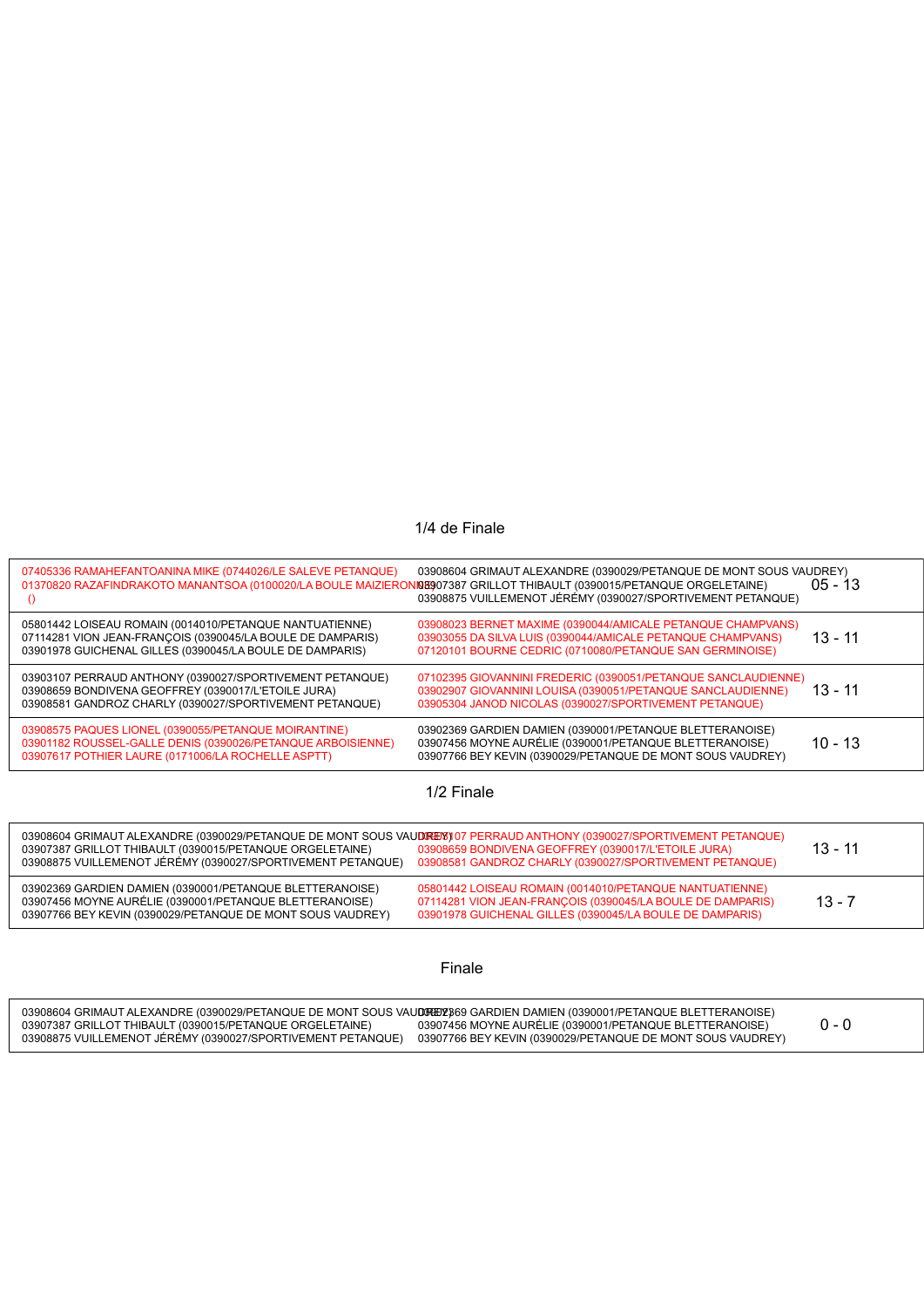## 1/4 de Finale

|            | 07405336 RAMAHEFANTOANINA MIKE (0744026/LE SALEVE PETANQUE)<br>01370820 RAZAFINDRAKOTO MANANTSOA (0100020/LA BOULE MAIZIERON<br>$\Omega$                                                                                                          | 03908604 GRIMAUT ALEXANDRE (0390029/PETANQUE DE MONT SOUS VAUDREY)<br>INE907387 GRILLOT THIBAULT (0390015/PETANQUE ORGELETAINE)<br>03908875 VUILLEMENOT JÉRÉMY (0390027/SPORTIVEMENT PETANQUE) | $05 - 13$ |
|------------|---------------------------------------------------------------------------------------------------------------------------------------------------------------------------------------------------------------------------------------------------|------------------------------------------------------------------------------------------------------------------------------------------------------------------------------------------------|-----------|
|            | 05801442 LOISEAU ROMAIN (0014010/PETANQUE NANTUATIENNE)<br>07114281 VION JEAN-FRANCOIS (0390045/LA BOULE DE DAMPARIS)<br>03901978 GUICHENAL GILLES (0390045/LA BOULE DE DAMPARIS)                                                                 | 03908023 BERNET MAXIME (0390044/AMICALE PETANQUE CHAMPVANS)<br>03903055 DA SILVA LUIS (0390044/AMICALE PETANQUE CHAMPVANS)<br>07120101 BOURNE CEDRIC (0710080/PETANQUE SAN GERMINOISE)         | 13 - 11   |
|            | 03903107 PERRAUD ANTHONY (0390027/SPORTIVEMENT PETANQUE)<br>03908659 BONDIVENA GEOFFREY (0390017/L'ETOILE JURA)<br>03908581 GANDROZ CHARLY (0390027/SPORTIVEMENT PETANQUE)                                                                        | 07102395 GIOVANNINI FREDERIC (0390051/PETANQUE SANCLAUDIENNE)<br>03902907 GIOVANNINI LOUISA (0390051/PETANQUE SANCLAUDIENNE)<br>03905304 JANOD NICOLAS (0390027/SPORTIVEMENT PETANQUE)         | $13 - 11$ |
|            | 03908575 PAQUES LIONEL (0390055/PETANQUE MOIRANTINE)<br>03901182 ROUSSEL-GALLE DENIS (0390026/PETANQUE ARBOISIENNE)<br>03907617 POTHIER LAURE (0171006/LA ROCHELLE ASPTT)                                                                         | 03902369 GARDIEN DAMIEN (0390001/PETANQUE BLETTERANOISE)<br>03907456 MOYNE AURÉLIE (0390001/PETANQUE BLETTERANOISE)<br>03907766 BEY KEVIN (0390029/PETANQUE DE MONT SOUS VAUDREY)              | 10 - 13   |
| 1/2 Finale |                                                                                                                                                                                                                                                   |                                                                                                                                                                                                |           |
|            | 03908604 GRIMAUT ALEXANDRE (0390029/PETANQUE DE MONT SOUS VAUDREYS) 07 PERRAUD ANTHONY (0390027/SPORTIVEMENT PETANQUE)<br>03907387 GRILLOT THIBAULT (0390015/PETANQUE ORGELETAINE)<br>03908875 VUILLEMENOT JÉRÉMY (0390027/SPORTIVEMENT PETANQUE) | 03908659 BONDIVENA GEOFFREY (0390017/L'ETOILE JURA)<br>03908581 GANDROZ CHARLY (0390027/SPORTIVEMENT PETANQUE)                                                                                 | $13 - 11$ |
|            | 03902369 GARDIEN DAMIEN (0390001/PETANQUE BLETTERANOISE)<br>03907456 MOYNE AURÉLIE (0390001/PETANQUE BLETTERANOISE)<br>03907766 BEY KEVIN (0390029/PETANQUE DE MONT SOUS VAUDREY)                                                                 | 05801442 LOISEAU ROMAIN (0014010/PETANQUE NANTUATIENNE)<br>07114281 VION JEAN-FRANÇOIS (0390045/LA BOULE DE DAMPARIS)<br>03901978 GUICHENAL GILLES (0390045/LA BOULE DE DAMPARIS)              | $13 - 7$  |
|            |                                                                                                                                                                                                                                                   |                                                                                                                                                                                                |           |

## Finale

| 03908604 GRIMAUT ALEXANDRE (0390029/PETANOUE DE MONT SOUS VAUDREDY369 GARDIEN DAMIEN (0390001/PETANOUE BLETTERANOISE) |                                                            |  |
|-----------------------------------------------------------------------------------------------------------------------|------------------------------------------------------------|--|
| 03907387 GRILLOT THIBAULT (0390015/PETANQUE ORGELETAINE)                                                              | 03907456 MOYNE AURELIE (0390001/PETANOUE BLETTERANOISE)    |  |
| 03908875 VUILLEMENOT JEREMY (0390027/SPORTIVEMENT PETANOUE)                                                           | 03907766 BEY KEVIN (0390029/PETANQUE DE MONT SOUS VAUDREY) |  |